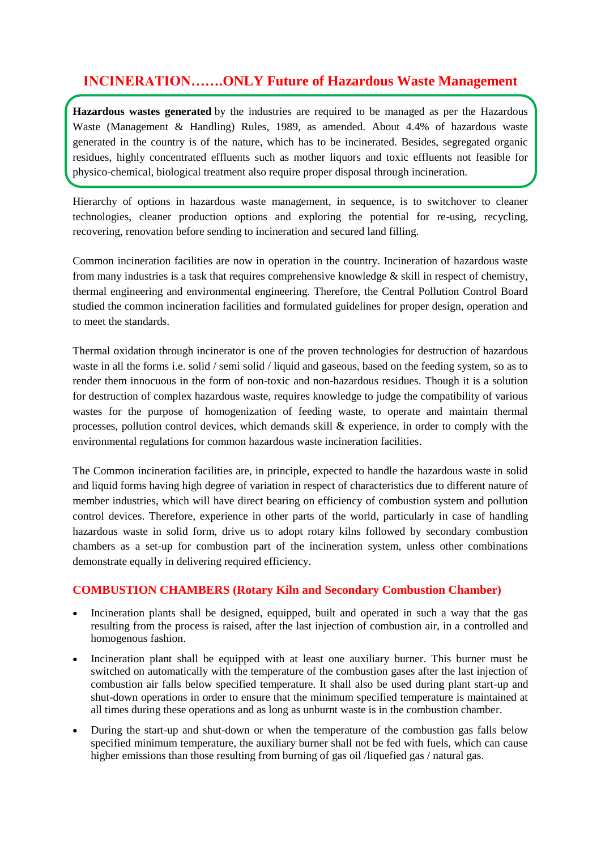## **INCINERATION…….ONLY Future of Hazardous Waste Management**

**Hazardous wastes generated** by the industries are required to be managed as per the Hazardous Waste (Management & Handling) Rules, 1989, as amended. About 4.4% of hazardous waste generated in the country is of the nature, which has to be incinerated. Besides, segregated organic residues, highly concentrated effluents such as mother liquors and toxic effluents not feasible for physico-chemical, biological treatment also require proper disposal through incineration.

Hierarchy of options in hazardous waste management, in sequence, is to switchover to cleaner technologies, cleaner production options and exploring the potential for re-using, recycling, recovering, renovation before sending to incineration and secured land filling.

Common incineration facilities are now in operation in the country. Incineration of hazardous waste from many industries is a task that requires comprehensive knowledge & skill in respect of chemistry, thermal engineering and environmental engineering. Therefore, the Central Pollution Control Board studied the common incineration facilities and formulated guidelines for proper design, operation and to meet the standards.

Thermal oxidation through incinerator is one of the proven technologies for destruction of hazardous waste in all the forms i.e. solid / semi solid / liquid and gaseous, based on the feeding system, so as to render them innocuous in the form of non-toxic and non-hazardous residues. Though it is a solution for destruction of complex hazardous waste, requires knowledge to judge the compatibility of various wastes for the purpose of homogenization of feeding waste, to operate and maintain thermal processes, pollution control devices, which demands skill & experience, in order to comply with the environmental regulations for common hazardous waste incineration facilities.

The Common incineration facilities are, in principle, expected to handle the hazardous waste in solid and liquid forms having high degree of variation in respect of characteristics due to different nature of member industries, which will have direct bearing on efficiency of combustion system and pollution control devices. Therefore, experience in other parts of the world, particularly in case of handling hazardous waste in solid form, drive us to adopt rotary kilns followed by secondary combustion chambers as a set-up for combustion part of the incineration system, unless other combinations demonstrate equally in delivering required efficiency.

### **COMBUSTION CHAMBERS (Rotary Kiln and Secondary Combustion Chamber)**

- Incineration plants shall be designed, equipped, built and operated in such a way that the gas resulting from the process is raised, after the last injection of combustion air, in a controlled and homogenous fashion.
- Incineration plant shall be equipped with at least one auxiliary burner. This burner must be switched on automatically with the temperature of the combustion gases after the last injection of combustion air falls below specified temperature. It shall also be used during plant start-up and shut-down operations in order to ensure that the minimum specified temperature is maintained at all times during these operations and as long as unburnt waste is in the combustion chamber.
- During the start-up and shut-down or when the temperature of the combustion gas falls below specified minimum temperature, the auxiliary burner shall not be fed with fuels, which can cause higher emissions than those resulting from burning of gas oil */liquefied gas / natural gas.*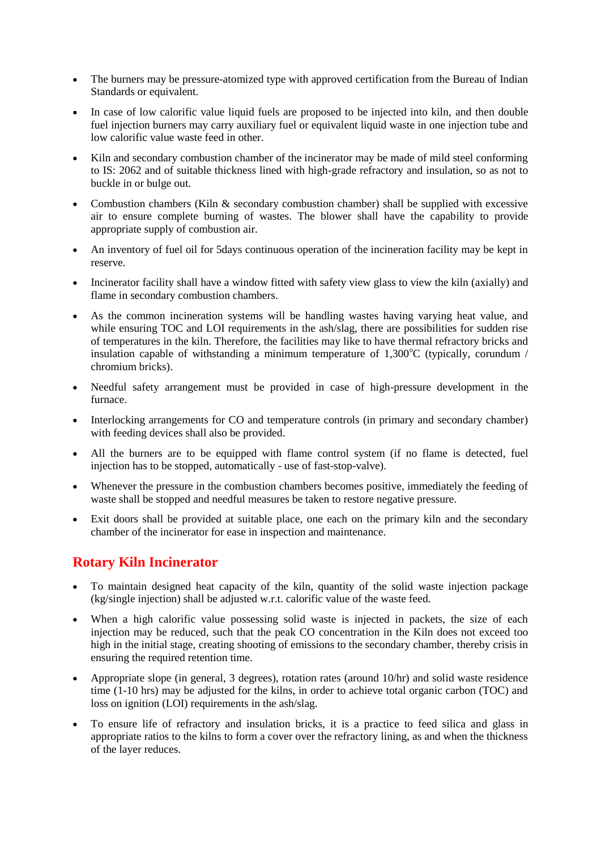- The burners may be pressure-atomized type with approved certification from the Bureau of Indian Standards or equivalent.
- In case of low calorific value liquid fuels are proposed to be injected into kiln, and then double fuel injection burners may carry auxiliary fuel or equivalent liquid waste in one injection tube and low calorific value waste feed in other.
- Kiln and secondary combustion chamber of the incinerator may be made of mild steel conforming to IS: 2062 and of suitable thickness lined with high-grade refractory and insulation, so as not to buckle in or bulge out.
- Combustion chambers (Kiln & secondary combustion chamber) shall be supplied with excessive air to ensure complete burning of wastes. The blower shall have the capability to provide appropriate supply of combustion air.
- An inventory of fuel oil for 5days continuous operation of the incineration facility may be kept in reserve.
- Incinerator facility shall have a window fitted with safety view glass to view the kiln (axially) and flame in secondary combustion chambers.
- As the common incineration systems will be handling wastes having varying heat value, and while ensuring TOC and LOI requirements in the ash/slag, there are possibilities for sudden rise of temperatures in the kiln. Therefore, the facilities may like to have thermal refractory bricks and insulation capable of withstanding a minimum temperature of  $1,300^{\circ}$ C (typically, corundum / chromium bricks).
- Needful safety arrangement must be provided in case of high-pressure development in the furnace.
- Interlocking arrangements for CO and temperature controls (in primary and secondary chamber) with feeding devices shall also be provided.
- All the burners are to be equipped with flame control system (if no flame is detected, fuel injection has to be stopped, automatically - use of fast-stop-valve).
- Whenever the pressure in the combustion chambers becomes positive, immediately the feeding of waste shall be stopped and needful measures be taken to restore negative pressure.
- Exit doors shall be provided at suitable place, one each on the primary kiln and the secondary chamber of the incinerator for ease in inspection and maintenance.

## **Rotary Kiln Incinerator**

- To maintain designed heat capacity of the kiln, quantity of the solid waste injection package (kg/single injection) shall be adjusted w.r.t. calorific value of the waste feed.
- When a high calorific value possessing solid waste is injected in packets, the size of each injection may be reduced, such that the peak CO concentration in the Kiln does not exceed too high in the initial stage, creating shooting of emissions to the secondary chamber, thereby crisis in ensuring the required retention time.
- Appropriate slope (in general, 3 degrees), rotation rates (around 10/hr) and solid waste residence time (1-10 hrs) may be adjusted for the kilns, in order to achieve total organic carbon (TOC) and loss on ignition (LOI) requirements in the ash/slag.
- To ensure life of refractory and insulation bricks, it is a practice to feed silica and glass in appropriate ratios to the kilns to form a cover over the refractory lining, as and when the thickness of the layer reduces.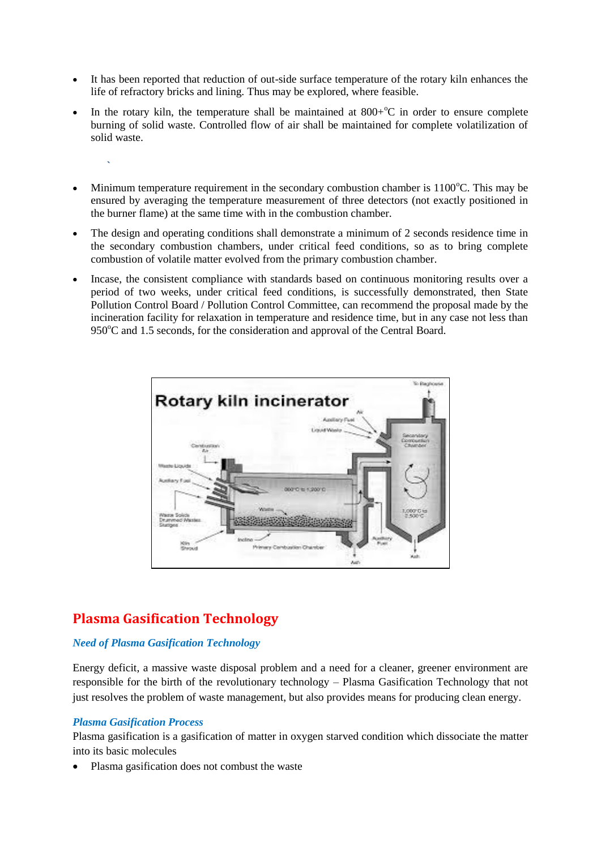- It has been reported that reduction of out-side surface temperature of the rotary kiln enhances the life of refractory bricks and lining. Thus may be explored, where feasible.
- In the rotary kiln, the temperature shall be maintained at  $800+°C$  in order to ensure complete burning of solid waste. Controlled flow of air shall be maintained for complete volatilization of solid waste.
- Minimum temperature requirement in the secondary combustion chamber is  $1100^{\circ}$ C. This may be ensured by averaging the temperature measurement of three detectors (not exactly positioned in the burner flame) at the same time with in the combustion chamber.
- The design and operating conditions shall demonstrate a minimum of 2 seconds residence time in the secondary combustion chambers, under critical feed conditions, so as to bring complete combustion of volatile matter evolved from the primary combustion chamber.
- Incase, the consistent compliance with standards based on continuous monitoring results over a period of two weeks, under critical feed conditions, is successfully demonstrated, then State Pollution Control Board / Pollution Control Committee, can recommend the proposal made by the incineration facility for relaxation in temperature and residence time, but in any case not less than  $950^{\circ}$ C and 1.5 seconds, for the consideration and approval of the Central Board.



# **Plasma Gasification Technology**

#### *Need of Plasma Gasification Technology*

Energy deficit, a massive waste disposal problem and a need for a cleaner, greener environment are responsible for the birth of the revolutionary technology – Plasma Gasification Technology that not just resolves the problem of waste management, but also provides means for producing clean energy.

#### *Plasma Gasification Process*

 **`**

Plasma gasification is a gasification of matter in oxygen starved condition which dissociate the matter into its basic molecules

Plasma gasification does not combust the waste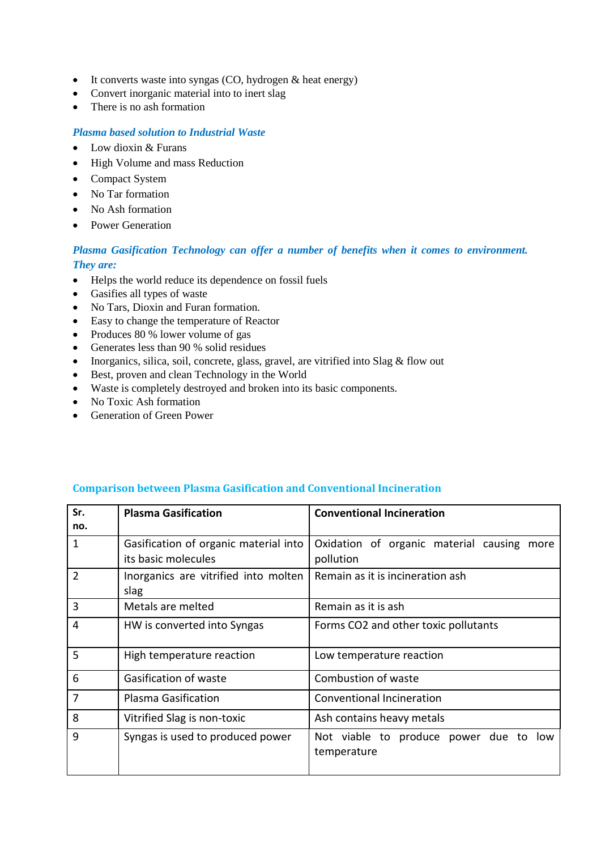- $\bullet$  It converts waste into syngas (CO, hydrogen & heat energy)
- Convert inorganic material into to inert slag
- There is no ash formation

#### *Plasma based solution to Industrial Waste*

- Low dioxin & Furans
- High Volume and mass Reduction
- Compact System
- No Tar formation
- No Ash formation
- Power Generation

### *Plasma Gasification Technology can offer a number of benefits when it comes to environment. They are:*

- Helps the world reduce its dependence on fossil fuels
- Gasifies all types of waste
- No Tars, Dioxin and Furan formation.
- Easy to change the temperature of Reactor
- Produces 80 % lower volume of gas
- Generates less than 90 % solid residues
- Inorganics, silica, soil, concrete, glass, gravel, are vitrified into Slag  $\&$  flow out
- Best, proven and clean Technology in the World
- Waste is completely destroyed and broken into its basic components.
- No Toxic Ash formation
- Generation of Green Power

| Sr. | <b>Plasma Gasification</b>            | <b>Conventional Incineration</b>           |
|-----|---------------------------------------|--------------------------------------------|
| no. |                                       |                                            |
| 1   | Gasification of organic material into | Oxidation of organic material causing more |
|     | its basic molecules                   | pollution                                  |
| 2   | Inorganics are vitrified into molten  | Remain as it is incineration ash           |
|     | slag                                  |                                            |
| 3   | Metals are melted                     | Remain as it is ash                        |
| 4   | HW is converted into Syngas           | Forms CO2 and other toxic pollutants       |
|     |                                       |                                            |
| 5   | High temperature reaction             | Low temperature reaction                   |
| 6   | Gasification of waste                 | Combustion of waste                        |
| 7   | Plasma Gasification                   | Conventional Incineration                  |
| 8   | Vitrified Slag is non-toxic           | Ash contains heavy metals                  |
| 9   | Syngas is used to produced power      | Not viable to produce power due to low     |
|     |                                       | temperature                                |
|     |                                       |                                            |

#### **Comparison between Plasma Gasification and Conventional Incineration**